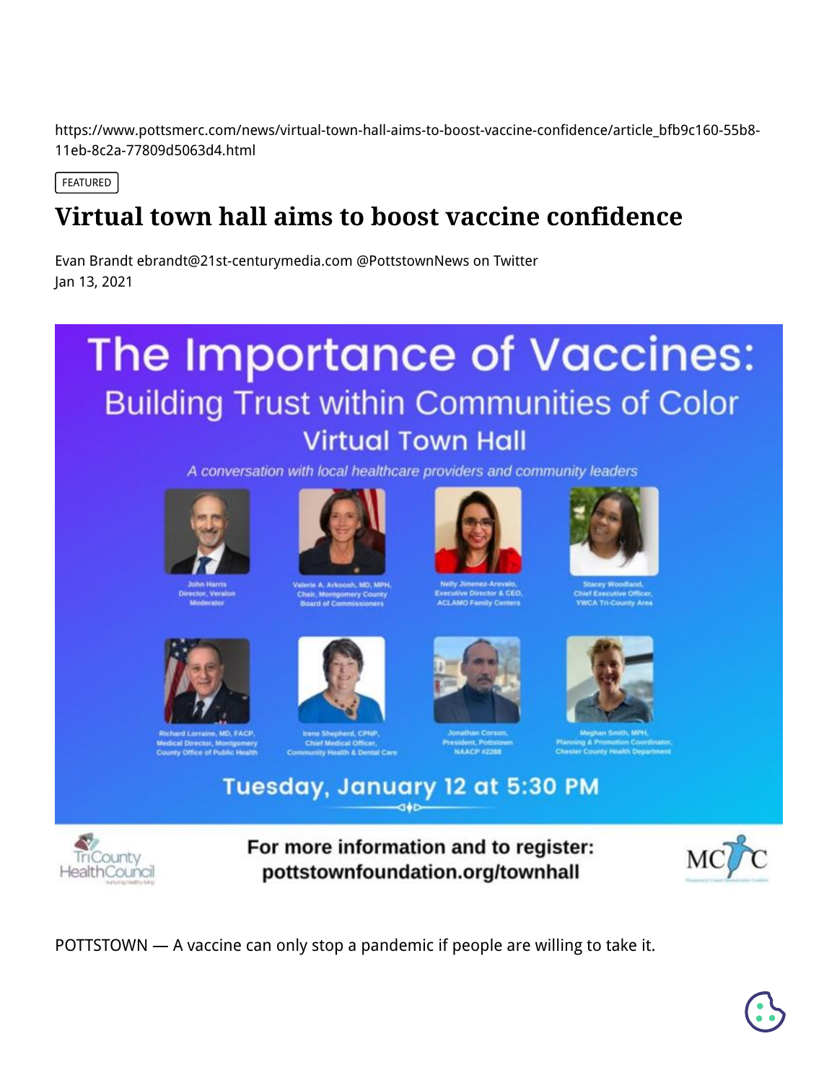https://www.pottsmerc.com/news/virtual-town-hall-aims-to-boost-vaccine-confidence/article\_bfb9c160-55b8- 11eb-8c2a-77809d5063d4.html

FEATURED

## **Virtual town hall aims to boost vaccine confidence**

[Evan Brandt ebrandt@21st-centurymedia.com @PottstownNews on Twitter](https://www.pottsmerc.com/users/profile/Evan%20Brandt) Jan 13, 2021

## The Importance of Vaccines: **Building Trust within Communities of Color Virtual Town Hall**

A conversation with local healthcare providers and community leaders











ical Director, Montgottery<br>inty Office of Public Health



Medical Officer,<br>/ Health & Dental Care



ивелі, Роїзко<br>NAACP #2288



Tuesday, January 12 at 5:30 PM



For more information and to register: pottstownfoundation.org/townhall



POTTSTOWN — A vaccine can only stop a pandemic if people are willing to take it.

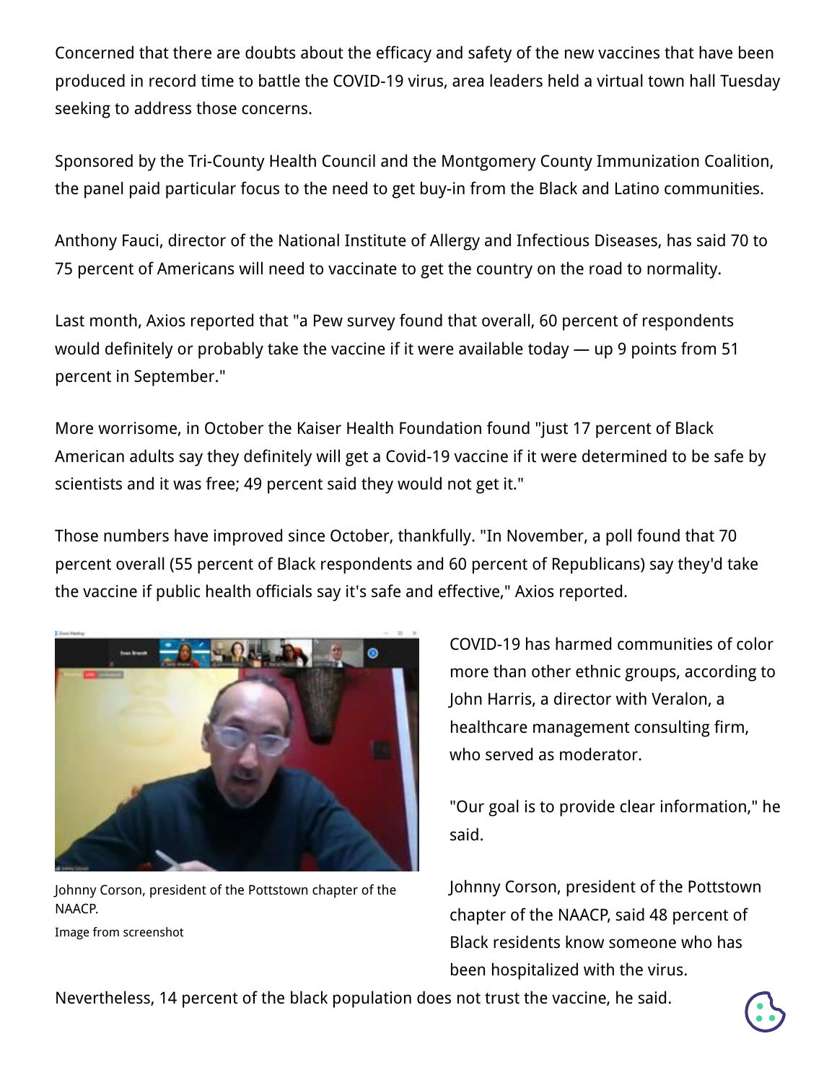Concerned that there are doubts about the efficacy and safety of the new vaccines that have been produced in record time to battle the COVID-19 virus, area leaders held a virtual town hall Tuesday seeking to address those concerns.

Sponsored by the Tri-County Health Council and the Montgomery County Immunization Coalition, the panel paid particular focus to the need to get buy-in from the Black and Latino communities.

Anthony Fauci, director of the National Institute of Allergy and Infectious Diseases, has said 70 to 75 percent of Americans will need to vaccinate to get the country on the road to normality.

Last month, Axios reported that "a Pew survey found that overall, 60 percent of respondents would definitely or probably take the vaccine if it were available today — up 9 points from 51 percent in September."

More worrisome, in October the Kaiser Health Foundation found "just 17 percent of Black American adults say they definitely will get a Covid-19 vaccine if it were determined to be safe by scientists and it was free; 49 percent said they would not get it."

Those numbers have improved since October, thankfully. "In November, a poll found that 70 percent overall (55 percent of Black respondents and 60 percent of Republicans) say they'd take the vaccine if public health officials say it's safe and effective," Axios reported.



Johnny Corson, president of the Pottstown chapter of the NAACP.

Image from screenshot

COVID-19 has harmed communities of color more than other ethnic groups, according to John Harris, a director with Veralon, a healthcare management consulting firm, who served as moderator.

"Our goal is to provide clear information," he said.

Johnny Corson, president of the Pottstown chapter of the NAACP, said 48 percent of Black residents know someone who has been hospitalized with the virus.

Nevertheless, 14 percent of the black population does not trust the vaccine, he said.

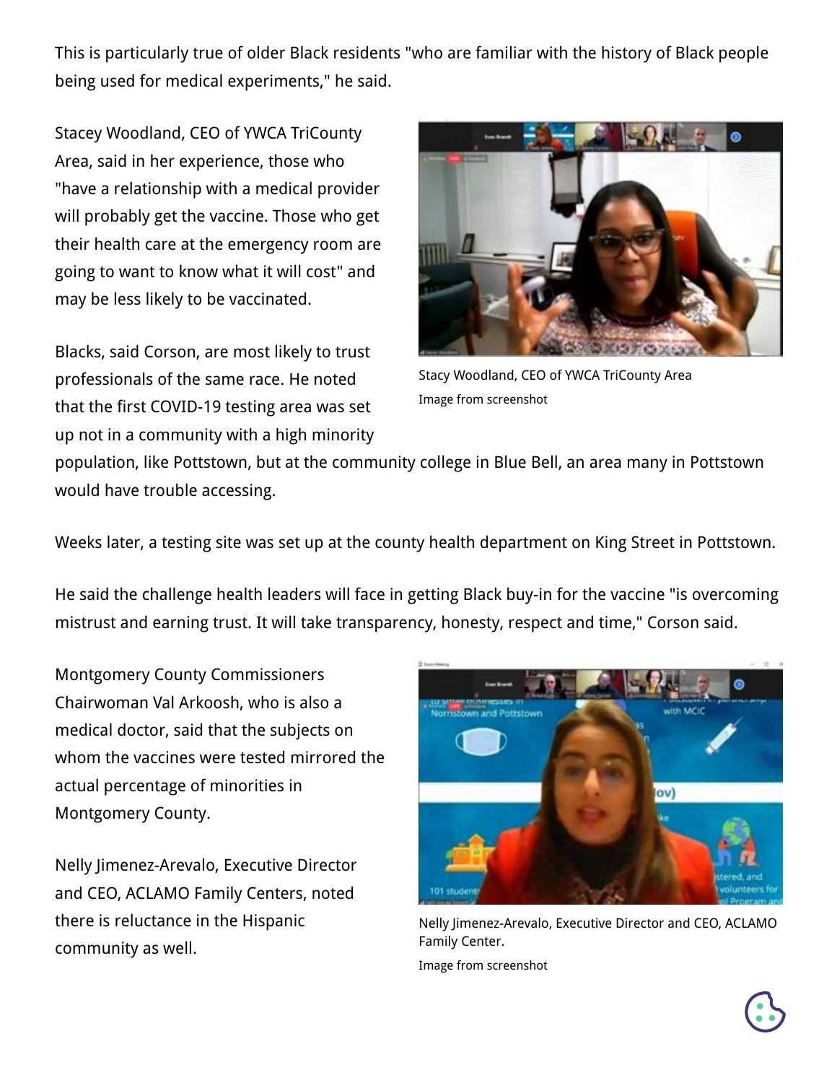This is particularly true of older Black residents "who are familiar with the history of Black people being used for medical experiments," he said.

Stacey Woodland, CEO of YWCA TriCounty Area, said in her experience, those who "have a relationship with a medical provider will probably get the vaccine. Those who get their health care at the emergency room are going to want to know what it will cost" and may be less likely to be vaccinated.

Blacks, said Corson, are most likely to trust professionals of the same race. He noted that the first COVID-19 testing area was set up not in a community with a high minority



Stacy Woodland, CEO of YWCA TriCounty Area Image from screenshot

population, like Pottstown, but at the community college in Blue Bell, an area many in Pottstown would have trouble accessing.

Weeks later, a testing site was set up at the county health department on King Street in Pottstown.

He said the challenge health leaders will face in getting Black buy-in for the vaccine "is overcoming mistrust and earning trust. It will take transparency, honesty, respect and time," Corson said.

Montgomery County Commissioners Chairwoman Val Arkoosh, who is also a medical doctor, said that the subjects on whom the vaccines were tested mirrored the actual percentage of minorities in Montgomery County.

Nelly Jimenez-Arevalo, Executive Director and CEO, ACLAMO Family Centers, noted there is reluctance in the Hispanic community as well.



Nelly Jimenez-Arevalo, Executive Director and CEO, ACLAMO Family Center. Image from screenshot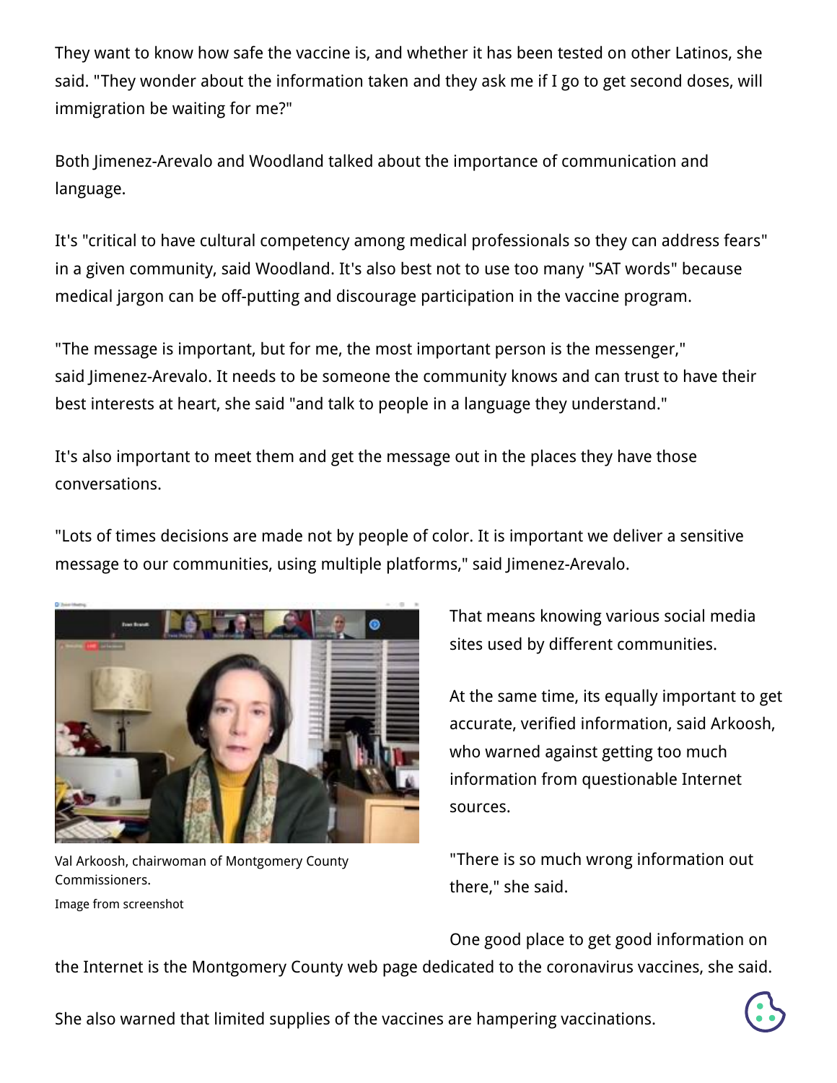They want to know how safe the vaccine is, and whether it has been tested on other Latinos, she said. "They wonder about the information taken and they ask me if I go to get second doses, will immigration be waiting for me?"

Both Jimenez-Arevalo and Woodland talked about the importance of communication and language.

It's "critical to have cultural competency among medical professionals so they can address fears" in a given community, said Woodland. It's also best not to use too many "SAT words" because medical jargon can be off-putting and discourage participation in the vaccine program.

"The message is important, but for me, the most important person is the messenger," said Jimenez-Arevalo. It needs to be someone the community knows and can trust to have their best interests at heart, she said "and talk to people in a language they understand."

It's also important to meet them and get the message out in the places they have those conversations.

"Lots of times decisions are made not by people of color. It is important we deliver a sensitive message to our communities, using multiple platforms," said Jimenez-Arevalo.



Val Arkoosh, chairwoman of Montgomery County Commissioners. Image from screenshot

That means knowing various social media sites used by different communities.

At the same time, its equally important to get accurate, verified information, said Arkoosh, who warned against getting too much information from questionable Internet sources.

"There is so much wrong information out there," she said.

One good place to get good information on

the Internet is the [Montgomery County web page dedicated to the coronavirus vaccines,](https://www.montcopa.org/3660/COVID-19-Vaccine) she said.

She also warned that limited supplies of the vaccines are hampering vaccinations.

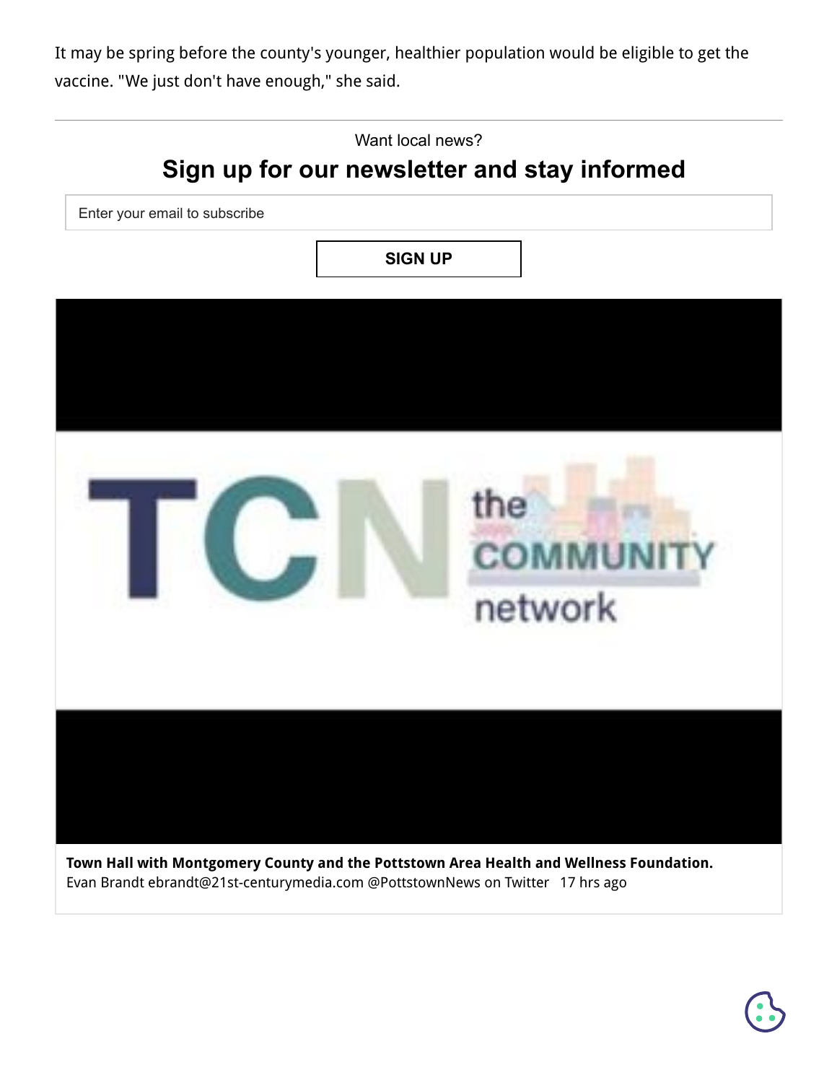It may be spring before the county's younger, healthier population would be eligible to get the vaccine. "We just don't have enough," she said.